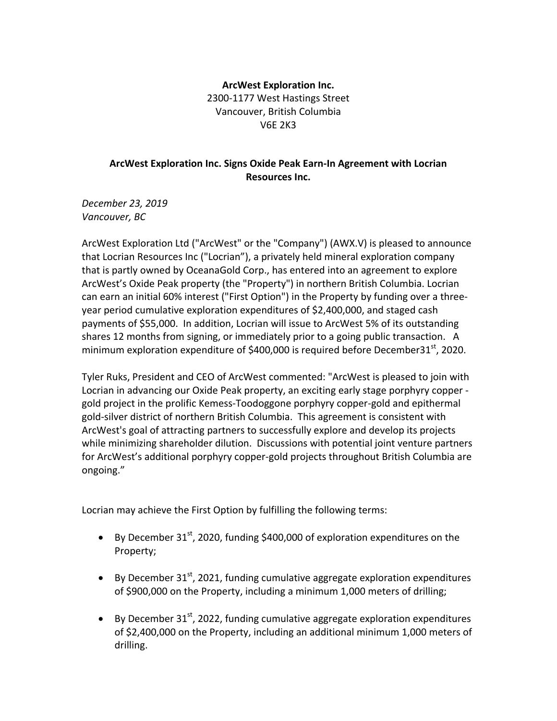## **ArcWest Exploration Inc.** 2300-1177 West Hastings Street Vancouver, British Columbia V6E 2K3

## **ArcWest Exploration Inc. Signs Oxide Peak Earn-In Agreement with Locrian Resources Inc.**

*December 23, 2019 Vancouver, BC*

ArcWest Exploration Ltd ("ArcWest" or the "Company") (AWX.V) is pleased to announce that Locrian Resources Inc ("Locrian"), a privately held mineral exploration company that is partly owned by OceanaGold Corp., has entered into an agreement to explore ArcWest's Oxide Peak property (the "Property") in northern British Columbia. Locrian can earn an initial 60% interest ("First Option") in the Property by funding over a threeyear period cumulative exploration expenditures of \$2,400,000, and staged cash payments of \$55,000. In addition, Locrian will issue to ArcWest 5% of its outstanding shares 12 months from signing, or immediately prior to a going public transaction. A minimum exploration expenditure of \$400,000 is required before December31<sup>st</sup>, 2020.

Tyler Ruks, President and CEO of ArcWest commented: "ArcWest is pleased to join with Locrian in advancing our Oxide Peak property, an exciting early stage porphyry copper gold project in the prolific Kemess-Toodoggone porphyry copper-gold and epithermal gold-silver district of northern British Columbia. This agreement is consistent with ArcWest's goal of attracting partners to successfully explore and develop its projects while minimizing shareholder dilution. Discussions with potential joint venture partners for ArcWest's additional porphyry copper-gold projects throughout British Columbia are ongoing."

Locrian may achieve the First Option by fulfilling the following terms:

- By December  $31<sup>st</sup>$ , 2020, funding \$400,000 of exploration expenditures on the Property;
- $\bullet$  By December 31<sup>st</sup>, 2021, funding cumulative aggregate exploration expenditures of \$900,000 on the Property, including a minimum 1,000 meters of drilling;
- $\bullet$  By December 31<sup>st</sup>, 2022, funding cumulative aggregate exploration expenditures of \$2,400,000 on the Property, including an additional minimum 1,000 meters of drilling.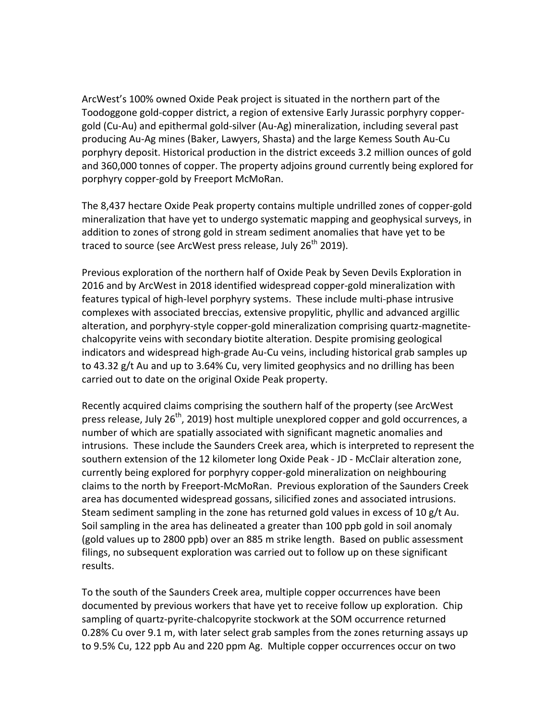ArcWest's 100% owned Oxide Peak project is situated in the northern part of the Toodoggone gold-copper district, a region of extensive Early Jurassic porphyry coppergold (Cu-Au) and epithermal gold-silver (Au-Ag) mineralization, including several past producing Au-Ag mines (Baker, Lawyers, Shasta) and the large Kemess South Au-Cu porphyry deposit. Historical production in the district exceeds 3.2 million ounces of gold and 360,000 tonnes of copper. The property adjoins ground currently being explored for porphyry copper-gold by Freeport McMoRan.

The 8,437 hectare Oxide Peak property contains multiple undrilled zones of copper-gold mineralization that have yet to undergo systematic mapping and geophysical surveys, in addition to zones of strong gold in stream sediment anomalies that have yet to be traced to source (see ArcWest press release, July 26<sup>th</sup> 2019).

Previous exploration of the northern half of Oxide Peak by Seven Devils Exploration in 2016 and by ArcWest in 2018 identified widespread copper-gold mineralization with features typical of high-level porphyry systems. These include multi-phase intrusive complexes with associated breccias, extensive propylitic, phyllic and advanced argillic alteration, and porphyry-style copper-gold mineralization comprising quartz-magnetitechalcopyrite veins with secondary biotite alteration. Despite promising geological indicators and widespread high-grade Au-Cu veins, including historical grab samples up to 43.32 g/t Au and up to 3.64% Cu, very limited geophysics and no drilling has been carried out to date on the original Oxide Peak property.

Recently acquired claims comprising the southern half of the property (see ArcWest press release, July 26<sup>th</sup>, 2019) host multiple unexplored copper and gold occurrences, a number of which are spatially associated with significant magnetic anomalies and intrusions. These include the Saunders Creek area, which is interpreted to represent the southern extension of the 12 kilometer long Oxide Peak - JD - McClair alteration zone, currently being explored for porphyry copper-gold mineralization on neighbouring claims to the north by Freeport-McMoRan. Previous exploration of the Saunders Creek area has documented widespread gossans, silicified zones and associated intrusions. Steam sediment sampling in the zone has returned gold values in excess of 10 g/t Au. Soil sampling in the area has delineated a greater than 100 ppb gold in soil anomaly (gold values up to 2800 ppb) over an 885 m strike length. Based on public assessment filings, no subsequent exploration was carried out to follow up on these significant results.

To the south of the Saunders Creek area, multiple copper occurrences have been documented by previous workers that have yet to receive follow up exploration. Chip sampling of quartz-pyrite-chalcopyrite stockwork at the SOM occurrence returned 0.28% Cu over 9.1 m, with later select grab samples from the zones returning assays up to 9.5% Cu, 122 ppb Au and 220 ppm Ag. Multiple copper occurrences occur on two